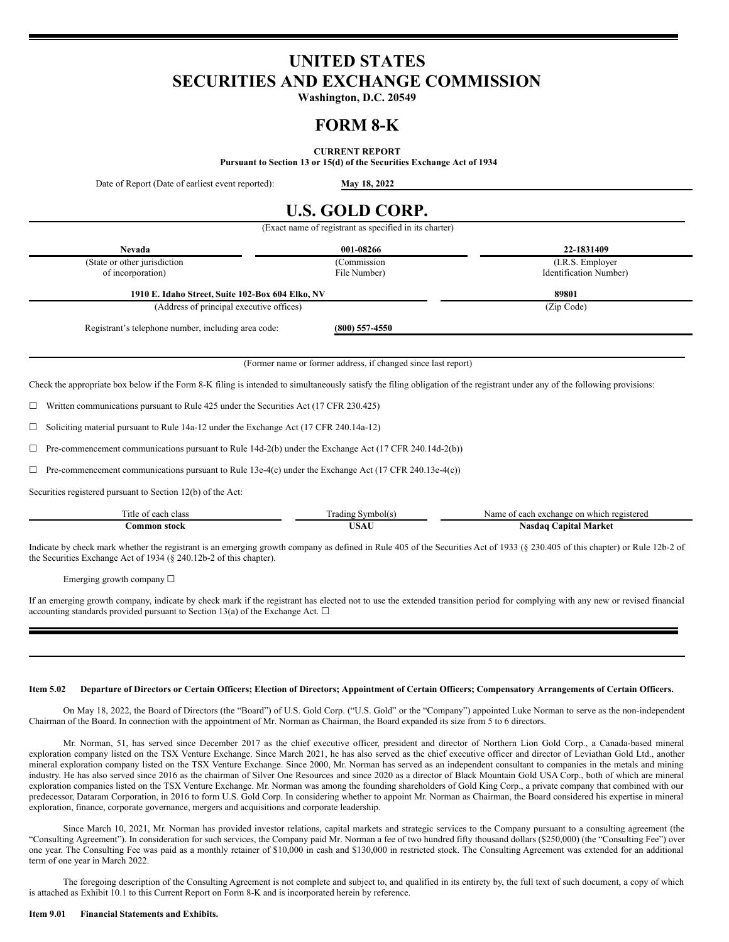## **UNITED STATES SECURITIES AND EXCHANGE COMMISSION**

**Washington, D.C. 20549**

## **FORM 8-K**

**CURRENT REPORT**

**Pursuant to Section 13 or 15(d) of the Securities Exchange Act of 1934**

Date of Report (Date of earliest event reported): **May 18, 2022**

# **U.S. GOLD CORP.**

(Exact name of registrant as specified in its charter) **Nevada 001-08266 22-1831409** (State or other jurisdiction of incorporation) (Commission File Number) (I.R.S. Employer Identification Number) **1910 E. Idaho Street, Suite 102-Box 604 Elko, NV 89801** (Address of principal executive offices) (Zip Code) Registrant's telephone number, including area code: **(800) 557-4550** (Former name or former address, if changed since last report) Check the appropriate box below if the Form 8-K filing is intended to simultaneously satisfy the filing obligation of the registrant under any of the following provisions:  $\Box$  Written communications pursuant to Rule 425 under the Securities Act (17 CFR 230.425)  $\Box$  Soliciting material pursuant to Rule 14a-12 under the Exchange Act (17 CFR 240.14a-12)

 $\Box$  Pre-commencement communications pursuant to Rule 14d-2(b) under the Exchange Act (17 CFR 240.14d-2(b))

 $\Box$  Pre-commencement communications pursuant to Rule 13e-4(c) under the Exchange Act (17 CFR 240.13e-4(c))

Securities registered pursuant to Section 12(b) of the Act:

| $\sim$<br>`itle<br>clas:<br>ட்டை | rading<br>∠mr' | registered<br>Name.<br>exchange<br>each<br>which |
|----------------------------------|----------------|--------------------------------------------------|
| om<br>stock                      | 770<br>$\sim$  | Market<br>Aasdac<br>anıta'                       |

Indicate by check mark whether the registrant is an emerging growth company as defined in Rule 405 of the Securities Act of 1933 (§ 230.405 of this chapter) or Rule 12b-2 of the Securities Exchange Act of 1934 (§ 240.12b-2 of this chapter).

Emerging growth company  $\Box$ 

If an emerging growth company, indicate by check mark if the registrant has elected not to use the extended transition period for complying with any new or revised financial accounting standards provided pursuant to Section 13(a) of the Exchange Act.  $\square$ 

#### Item 5.02 Departure of Directors or Certain Officers; Election of Directors; Appointment of Certain Officers; Compensatory Arrangements of Certain Officers.

On May 18, 2022, the Board of Directors (the "Board") of U.S. Gold Corp. ("U.S. Gold" or the "Company") appointed Luke Norman to serve as the non-independent Chairman of the Board. In connection with the appointment of Mr. Norman as Chairman, the Board expanded its size from 5 to 6 directors.

Mr. Norman, 51, has served since December 2017 as the chief executive officer, president and director of Northern Lion Gold Corp., a Canada-based mineral exploration company listed on the TSX Venture Exchange. Since March 2021, he has also served as the chief executive officer and director of Leviathan Gold Ltd., another mineral exploration company listed on the TSX Venture Exchange. Since 2000, Mr. Norman has served as an independent consultant to companies in the metals and mining industry. He has also served since 2016 as the chairman of Silver One Resources and since 2020 as a director of Black Mountain Gold USA Corp., both of which are mineral exploration companies listed on the TSX Venture Exchange. Mr. Norman was among the founding shareholders of Gold King Corp., a private company that combined with our predecessor, Dataram Corporation, in 2016 to form U.S. Gold Corp. In considering whether to appoint Mr. Norman as Chairman, the Board considered his expertise in mineral exploration, finance, corporate governance, mergers and acquisitions and corporate leadership.

Since March 10, 2021, Mr. Norman has provided investor relations, capital markets and strategic services to the Company pursuant to a consulting agreement (the "Consulting Agreement"). In consideration for such services, the Company paid Mr. Norman a fee of two hundred fifty thousand dollars (\$250,000) (the "Consulting Fee") over one year. The Consulting Fee was paid as a monthly retainer of \$10,000 in cash and \$130,000 in restricted stock. The Consulting Agreement was extended for an additional term of one year in March 2022.

The foregoing description of the Consulting Agreement is not complete and subject to, and qualified in its entirety by, the full text of such document, a copy of which is attached as Exhibit 10.1 to this Current Report on Form 8-K and is incorporated herein by reference.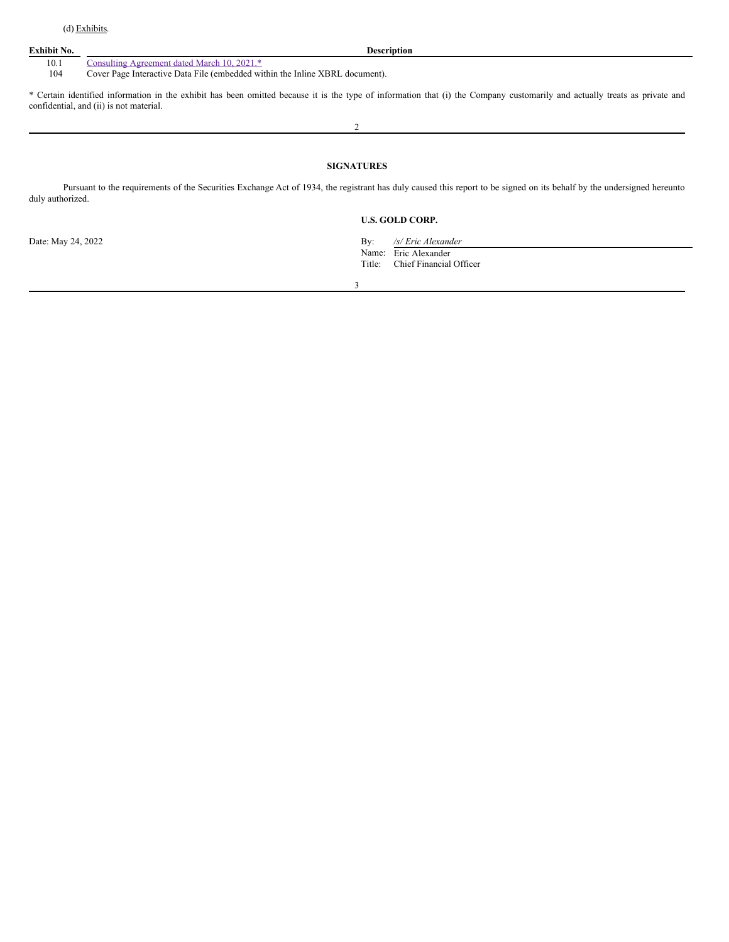#### **Exhibit No. Description**

### 10.1 Consulting [Agreement](#page-3-0) dated March 10, 2021.\*

104 Cover Page Interactive Data File (embedded within the Inline XBRL document).

\* Certain identified information in the exhibit has been omitted because it is the type of information that (i) the Company customarily and actually treats as private and confidential, and (ii) is not material.

 $\overline{2}$ 

#### **SIGNATURES**

Pursuant to the requirements of the Securities Exchange Act of 1934, the registrant has duly caused this report to be signed on its behalf by the undersigned hereunto duly authorized.

#### **U.S. GOLD CORP.**

Date: May 24, 2022 By: */s/ Eric Alexander* Name: Eric Alexander<br>Title: Chief Financial Chief Financial Officer

3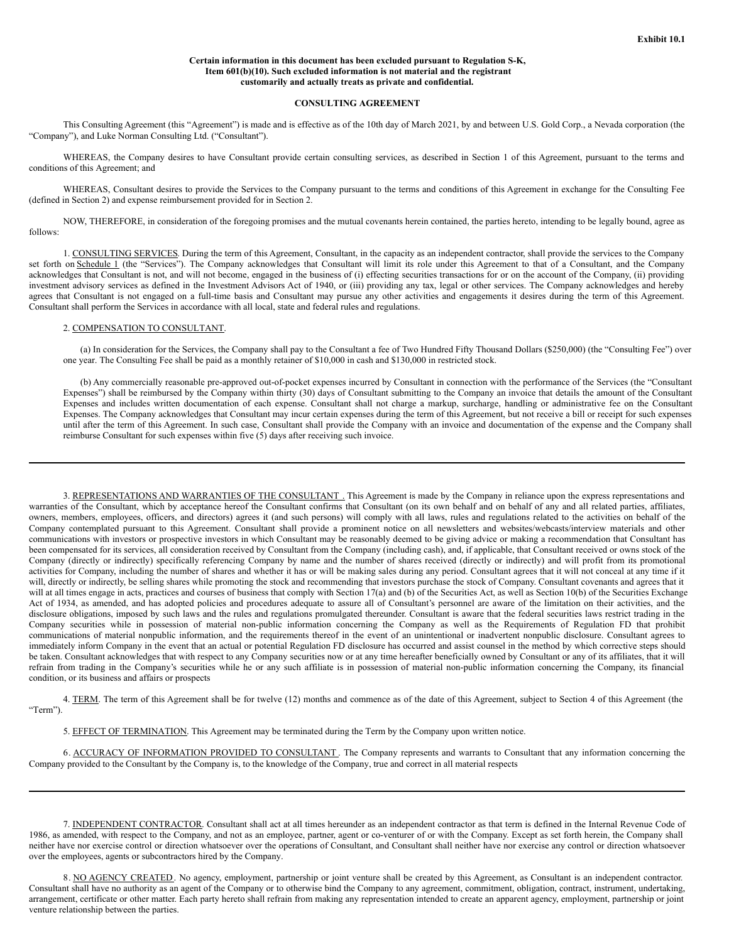#### **Certain information in this document has been excluded pursuant to Regulation S-K, Item 601(b)(10). Such excluded information is not material and the registrant customarily and actually treats as private and confidential.**

#### **CONSULTING AGREEMENT**

This Consulting Agreement (this "Agreement") is made and is effective as of the 10th day of March 2021, by and between U.S. Gold Corp., a Nevada corporation (the "Company"), and Luke Norman Consulting Ltd. ("Consultant").

WHEREAS, the Company desires to have Consultant provide certain consulting services, as described in Section 1 of this Agreement, pursuant to the terms and conditions of this Agreement; and

WHEREAS, Consultant desires to provide the Services to the Company pursuant to the terms and conditions of this Agreement in exchange for the Consulting Fee (defined in Section 2) and expense reimbursement provided for in Section 2.

NOW, THEREFORE, in consideration of the foregoing promises and the mutual covenants herein contained, the parties hereto, intending to be legally bound, agree as follows:

1. CONSULTING SERVICES. During the term of this Agreement, Consultant, in the capacity as an independent contractor, shall provide the services to the Company set forth on Schedule 1 (the "Services"). The Company acknowledges that Consultant will limit its role under this Agreement to that of a Consultant, and the Company acknowledges that Consultant is not, and will not become, engaged in the business of (i) effecting securities transactions for or on the account of the Company, (ii) providing investment advisory services as defined in the Investment Advisors Act of 1940, or (iii) providing any tax, legal or other services. The Company acknowledges and hereby agrees that Consultant is not engaged on a full-time basis and Consultant may pursue any other activities and engagements it desires during the term of this Agreement. Consultant shall perform the Services in accordance with all local, state and federal rules and regulations.

#### 2. COMPENSATION TO CONSULTANT.

(a) In consideration for the Services, the Company shall pay to the Consultant a fee of Two Hundred Fifty Thousand Dollars (\$250,000) (the "Consulting Fee") over one year. The Consulting Fee shall be paid as a monthly retainer of \$10,000 in cash and \$130,000 in restricted stock.

(b) Any commercially reasonable pre-approved out-of-pocket expenses incurred by Consultant in connection with the performance of the Services (the "Consultant Expenses") shall be reimbursed by the Company within thirty (30) days of Consultant submitting to the Company an invoice that details the amount of the Consultant Expenses and includes written documentation of each expense. Consultant shall not charge a markup, surcharge, handling or administrative fee on the Consultant Expenses. The Company acknowledges that Consultant may incur certain expenses during the term of this Agreement, but not receive a bill or receipt for such expenses until after the term of this Agreement. In such case, Consultant shall provide the Company with an invoice and documentation of the expense and the Company shall reimburse Consultant for such expenses within five (5) days after receiving such invoice.

3. REPRESENTATIONS AND WARRANTIES OF THE CONSULTANT. This Agreement is made by the Company in reliance upon the express representations and warranties of the Consultant, which by acceptance hereof the Consultant confirms that Consultant (on its own behalf and on behalf of any and all related parties, affiliates, owners, members, employees, officers, and directors) agrees it (and such persons) will comply with all laws, rules and regulations related to the activities on behalf of the Company contemplated pursuant to this Agreement. Consultant shall provide a prominent notice on all newsletters and websites/webcasts/interview materials and other communications with investors or prospective investors in which Consultant may be reasonably deemed to be giving advice or making a recommendation that Consultant has been compensated for its services, all consideration received by Consultant from the Company (including cash), and, if applicable, that Consultant received or owns stock of the Company (directly or indirectly) specifically referencing Company by name and the number of shares received (directly or indirectly) and will profit from its promotional activities for Company, including the number of shares and whether it has or will be making sales during any period. Consultant agrees that it will not conceal at any time if it will, directly or indirectly, be selling shares while promoting the stock and recommending that investors purchase the stock of Company. Consultant covenants and agrees that it will at all times engage in acts, practices and courses of business that comply with Section 17(a) and (b) of the Securities Act, as well as Section 10(b) of the Securities Exchange Act of 1934, as amended, and has adopted policies and procedures adequate to assure all of Consultant's personnel are aware of the limitation on their activities, and the disclosure obligations, imposed by such laws and the rules and regulations promulgated thereunder. Consultant is aware that the federal securities laws restrict trading in the Company securities while in possession of material non-public information concerning the Company as well as the Requirements of Regulation FD that prohibit communications of material nonpublic information, and the requirements thereof in the event of an unintentional or inadvertent nonpublic disclosure. Consultant agrees to immediately inform Company in the event that an actual or potential Regulation FD disclosure has occurred and assist counsel in the method by which corrective steps should be taken. Consultant acknowledges that with respect to any Company securities now or at any time hereafter beneficially owned by Consultant or any of its affiliates, that it will refrain from trading in the Company's securities while he or any such affiliate is in possession of material non-public information concerning the Company, its financial condition, or its business and affairs or prospects

4. TERM. The term of this Agreement shall be for twelve (12) months and commence as of the date of this Agreement, subject to Section 4 of this Agreement (the "Term").

5. EFFECT OF TERMINATION. This Agreement may be terminated during the Term by the Company upon written notice.

6. ACCURACY OF INFORMATION PROVIDED TO CONSULTANT. The Company represents and warrants to Consultant that any information concerning the Company provided to the Consultant by the Company is, to the knowledge of the Company, true and correct in all material respects

7. INDEPENDENT CONTRACTOR. Consultant shall act at all times hereunder as an independent contractor as that term is defined in the Internal Revenue Code of 1986, as amended, with respect to the Company, and not as an employee, partner, agent or co-venturer of or with the Company. Except as set forth herein, the Company shall neither have nor exercise control or direction whatsoever over the operations of Consultant, and Consultant shall neither have nor exercise any control or direction whatsoever over the employees, agents or subcontractors hired by the Company.

8. NO AGENCY CREATED. No agency, employment, partnership or joint venture shall be created by this Agreement, as Consultant is an independent contractor. Consultant shall have no authority as an agent of the Company or to otherwise bind the Company to any agreement, commitment, obligation, contract, instrument, undertaking, arrangement, certificate or other matter. Each party hereto shall refrain from making any representation intended to create an apparent agency, employment, partnership or joint venture relationship between the parties.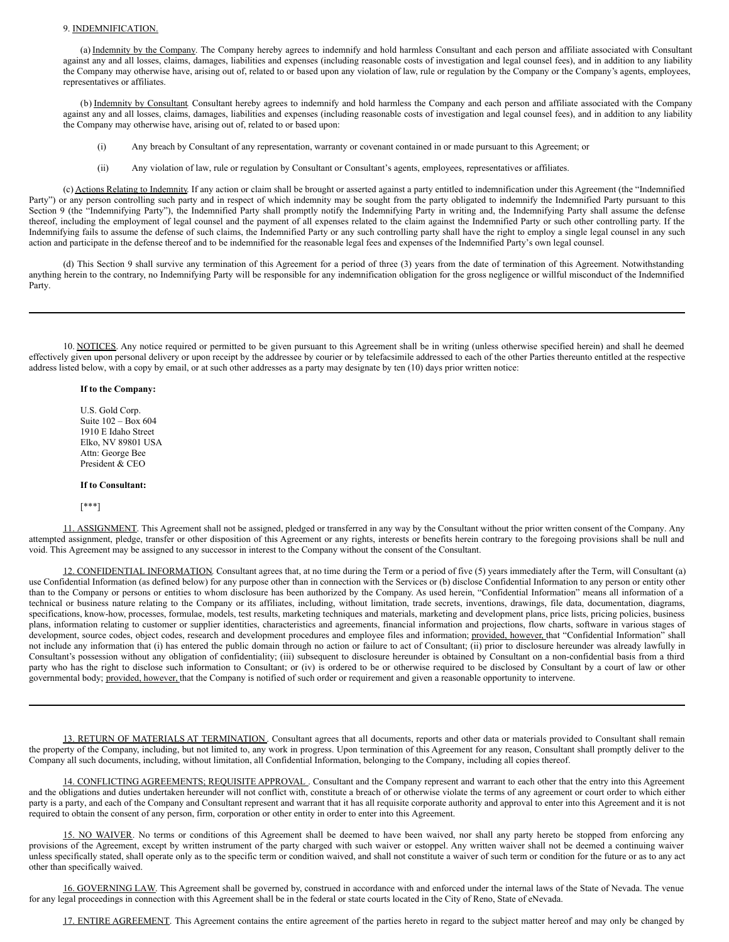#### <span id="page-3-0"></span>9. INDEMNIFICATION.

(a) Indemnity by the Company. The Company hereby agrees to indemnify and hold harmless Consultant and each person and affiliate associated with Consultant against any and all losses, claims, damages, liabilities and expenses (including reasonable costs of investigation and legal counsel fees), and in addition to any liability the Company may otherwise have, arising out of, related to or based upon any violation of law, rule or regulation by the Company or the Company's agents, employees, representatives or affiliates.

(b) Indemnity by Consultant. Consultant hereby agrees to indemnify and hold harmless the Company and each person and affiliate associated with the Company against any and all losses, claims, damages, liabilities and expenses (including reasonable costs of investigation and legal counsel fees), and in addition to any liability the Company may otherwise have, arising out of, related to or based upon:

- (i) Any breach by Consultant of any representation, warranty or covenant contained in or made pursuant to this Agreement; or
- (ii) Any violation of law, rule or regulation by Consultant or Consultant's agents, employees, representatives or affiliates.

(c) Actions Relating to Indemnity. If any action or claim shall be brought or asserted against a party entitled to indemnification under this Agreement (the "Indemnified Party") or any person controlling such party and in respect of which indemnity may be sought from the party obligated to indemnify the Indemnified Party pursuant to this Section 9 (the "Indemnifying Party"), the Indemnified Party shall promptly notify the Indemnifying Party in writing and, the Indemnifying Party shall assume the defense thereof, including the employment of legal counsel and the payment of all expenses related to the claim against the Indemnified Party or such other controlling party. If the Indemnifying fails to assume the defense of such claims, the Indemnified Party or any such controlling party shall have the right to employ a single legal counsel in any such action and participate in the defense thereof and to be indemnified for the reasonable legal fees and expenses of the Indemnified Party's own legal counsel.

(d) This Section 9 shall survive any termination of this Agreement for a period of three (3) years from the date of termination of this Agreement. Notwithstanding anything herein to the contrary, no Indemnifying Party will be responsible for any indemnification obligation for the gross negligence or willful misconduct of the Indemnified Party.

10. NOTICES. Any notice required or permitted to be given pursuant to this Agreement shall be in writing (unless otherwise specified herein) and shall he deemed effectively given upon personal delivery or upon receipt by the addressee by courier or by telefacsimile addressed to each of the other Parties thereunto entitled at the respective address listed below, with a copy by email, or at such other addresses as a party may designate by ten (10) days prior written notice:

#### **If to the Company:**

U.S. Gold Corp. Suite 102 – Box 604 1910 E Idaho Street Elko, NV 89801 USA Attn: George Bee President & CEO

#### **If to Consultant:**

[\*\*\*]

11. ASSIGNMENT. This Agreement shall not be assigned, pledged or transferred in any way by the Consultant without the prior written consent of the Company. Any attempted assignment, pledge, transfer or other disposition of this Agreement or any rights, interests or benefits herein contrary to the foregoing provisions shall be null and void. This Agreement may be assigned to any successor in interest to the Company without the consent of the Consultant.

12. CONFIDENTIAL INFORMATION. Consultant agrees that, at no time during the Term or a period of five (5) years immediately after the Term, will Consultant (a) use Confidential Information (as defined below) for any purpose other than in connection with the Services or (b) disclose Confidential Information to any person or entity other than to the Company or persons or entities to whom disclosure has been authorized by the Company. As used herein, "Confidential Information" means all information of a technical or business nature relating to the Company or its affiliates, including, without limitation, trade secrets, inventions, drawings, file data, documentation, diagrams, specifications, know-how, processes, formulae, models, test results, marketing techniques and materials, marketing and development plans, price lists, pricing policies, business plans, information relating to customer or supplier identities, characteristics and agreements, financial information and projections, flow charts, software in various stages of development, source codes, object codes, research and development procedures and employee files and information; provided, however, that "Confidential Information" shall not include any information that (i) has entered the public domain through no action or failure to act of Consultant; (ii) prior to disclosure hereunder was already lawfully in Consultant's possession without any obligation of confidentiality; (iii) subsequent to disclosure hereunder is obtained by Consultant on a non-confidential basis from a third party who has the right to disclose such information to Consultant; or (iv) is ordered to be or otherwise required to be disclosed by Consultant by a court of law or other governmental body; provided, however, that the Company is notified of such order or requirement and given a reasonable opportunity to intervene.

13. RETURN OF MATERIALS AT TERMINATION. Consultant agrees that all documents, reports and other data or materials provided to Consultant shall remain the property of the Company, including, but not limited to, any work in progress. Upon termination of this Agreement for any reason, Consultant shall promptly deliver to the Company all such documents, including, without limitation, all Confidential Information, belonging to the Company, including all copies thereof.

14. CONFLICTING AGREEMENTS; REQUISITE APPROVAL . Consultant and the Company represent and warrant to each other that the entry into this Agreement and the obligations and duties undertaken hereunder will not conflict with, constitute a breach of or otherwise violate the terms of any agreement or court order to which either party is a party, and each of the Company and Consultant represent and warrant that it has all requisite corporate authority and approval to enter into this Agreement and it is not required to obtain the consent of any person, firm, corporation or other entity in order to enter into this Agreement.

15. NO WAIVER. No terms or conditions of this Agreement shall be deemed to have been waived, nor shall any party hereto be stopped from enforcing any provisions of the Agreement, except by written instrument of the party charged with such waiver or estoppel. Any written waiver shall not be deemed a continuing waiver unless specifically stated, shall operate only as to the specific term or condition waived, and shall not constitute a waiver of such term or condition for the future or as to any act other than specifically waived.

16. GOVERNING LAW. This Agreement shall be governed by, construed in accordance with and enforced under the internal laws of the State of Nevada. The venue for any legal proceedings in connection with this Agreement shall be in the federal or state courts located in the City of Reno, State of eNevada.

17. ENTIRE AGREEMENT. This Agreement contains the entire agreement of the parties hereto in regard to the subject matter hereof and may only be changed by